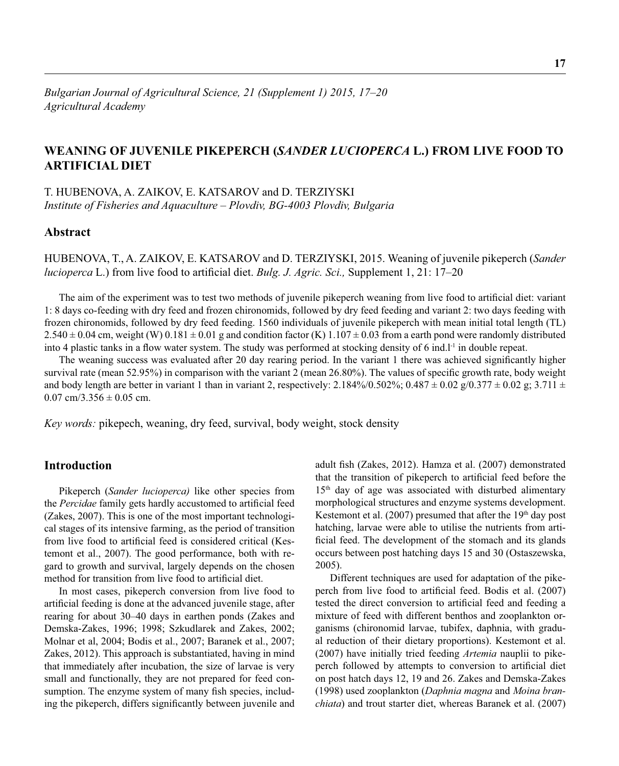# **WEANING OF JUVENILE PIKEPERCH (***SANDER LUCIOPERCA* **L.) FROM LIVE FOOD TO ARTIFICIAL DIET**

T. HUBENOVA, A. ZAIKOV, E. KATSAROV and D. TERZIYSKI *Institute of Fisheries and Aquaculture – Plovdiv, BG-4003 Plovdiv, Bulgaria*

## **Abstract**

HUBENOVA, T., A. ZAIKOV, E. KATSAROV and D. TERZIYSKI, 2015. Weaning of juvenile pikeperch (*Sander lucioperca* L.) from live food to artificial diet. *Bulg. J. Agric. Sci.*, Supplement 1, 21: 17–20

The aim of the experiment was to test two methods of juvenile pikeperch weaning from live food to artificial diet: variant 1: 8 days co-feeding with dry feed and frozen chironomids, followed by dry feed feeding and variant 2: two days feeding with frozen chironomids, followed by dry feed feeding. 1560 individuals of juvenile pikeperch with mean initial total length (TL)  $2.540 \pm 0.04$  cm, weight (W)  $0.181 \pm 0.01$  g and condition factor (K)  $1.107 \pm 0.03$  from a earth pond were randomly distributed into 4 plastic tanks in a flow water system. The study was performed at stocking density of 6 ind. $l<sup>-1</sup>$  in double repeat.

The weaning success was evaluated after 20 day rearing period. In the variant 1 there was achieved significantly higher survival rate (mean 52.95%) in comparison with the variant 2 (mean 26.80%). The values of specific growth rate, body weight and body length are better in variant 1 than in variant 2, respectively:  $2.184\%/0.502\%/0.487 \pm 0.02$  g $/0.377 \pm 0.02$  g;  $3.711 \pm 0.02$  $0.07$  cm/3.356  $\pm$  0.05 cm.

*Key words:* pikepech, weaning, dry feed, survival, body weight, stock density

## **Introduction**

Pikeperch (*Sander lucioperca)* like other species from the *Percidae* family gets hardly accustomed to artificial feed (Zakes, 2007). This is one of the most important technological stages of its intensive farming, as the period of transition from live food to artificial feed is considered critical (Kestemont et al., 2007). The good performance, both with regard to growth and survival, largely depends on the chosen method for transition from live food to artificial diet.

In most cases, pikeperch conversion from live food to artificial feeding is done at the advanced juvenile stage, after rearing for about 30–40 days in earthen ponds (Zakes and Demska-Zakes, 1996; 1998; Szkudlarek and Zakes, 2002; Molnar et al, 2004; Bodis et al., 2007; Baranek et al., 2007; Zakes, 2012). This approach is substantiated, having in mind that immediately after incubation, the size of larvae is very small and functionally, they are not prepared for feed consumption. The enzyme system of many fish species, including the pikeperch, differs significantly between juvenile and

adult fish (Zakes, 2012). Hamza et al. (2007) demonstrated that the transition of pikeperch to artificial feed before the 15<sup>th</sup> day of age was associated with disturbed alimentary morphological structures and enzyme systems development. Kestemont et al.  $(2007)$  presumed that after the 19<sup>th</sup> day post hatching, larvae were able to utilise the nutrients from artificial feed. The development of the stomach and its glands occurs between post hatching days 15 and 30 (Ostaszewska, 2005).

Different techniques are used for adaptation of the pikeperch from live food to artificial feed. Bodis et al. (2007) tested the direct conversion to artificial feed and feeding a mixture of feed with different benthos and zooplankton organisms (chironomid larvae, tubifex, daphnia, with gradual reduction of their dietary proportions). Kestemont et al. (2007) have initially tried feeding *Artemia* nauplii to pikeperch followed by attempts to conversion to artificial diet on post hatch days 12, 19 and 26. Zakes and Demska-Zakes (1998) used zooplankton (*Daphnia magna* and *Moina branchiata*) and trout starter diet, whereas Baranek et al. (2007)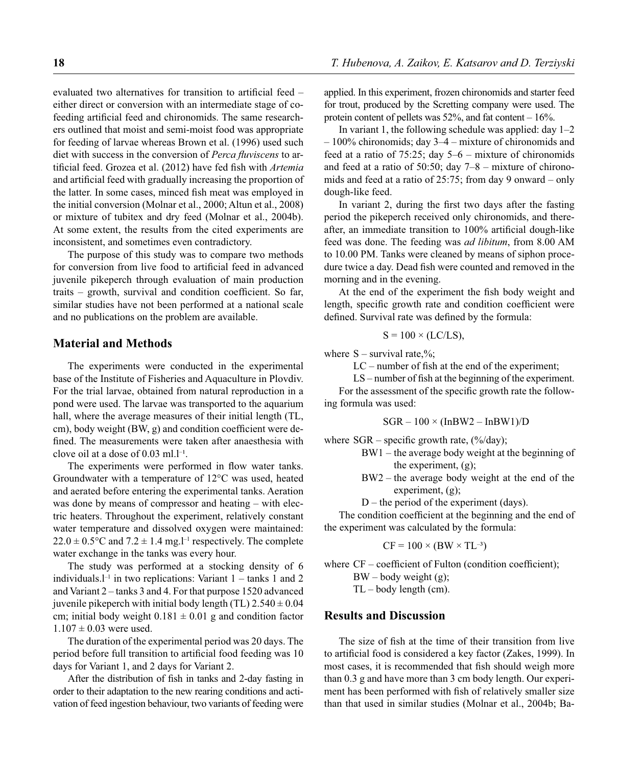evaluated two alternatives for transition to artificial feed  $$ either direct or conversion with an intermediate stage of cofeeding artificial feed and chironomids. The same researchers outlined that moist and semi-moist food was appropriate for feeding of larvae whereas Brown et al. (1996) used such diet with success in the conversion of *Perca fluviscens* to artificial feed. Grozea et al. (2012) have fed fish with *Artemia* and artificial feed with gradually increasing the proportion of the latter. In some cases, minced fish meat was employed in the initial conversion (Molnar et al., 2000; Altun et al., 2008) or mixture of tubitex and dry feed (Molnar et al., 2004b). At some extent, the results from the cited experiments are inconsistent, and sometimes even contradictory.

The purpose of this study was to compare two methods for conversion from live food to artificial feed in advanced juvenile pikeperch through evaluation of main production traits – growth, survival and condition coefficient. So far, similar studies have not been performed at a national scale and no publications on the problem are available.

### **Material and Methods**

The experiments were conducted in the experimental base of the Institute of Fisheries and Aquaculture in Plovdiv. For the trial larvae, obtained from natural reproduction in a pond were used. The larvae was transported to the aquarium hall, where the average measures of their initial length (TL, cm), body weight  $(BW, g)$  and condition coefficient were defined. The measurements were taken after anaesthesia with clove oil at a dose of  $0.03 \text{ ml.} l^{-1}$ .

The experiments were performed in flow water tanks. Groundwater with a temperature of 12°C was used, heated and aerated before entering the experimental tanks. Aeration was done by means of compressor and heating – with electric heaters. Throughout the experiment, relatively constant water temperature and dissolved oxygen were maintained:  $22.0 \pm 0.5$ °C and  $7.2 \pm 1.4$  mg.<sup>1-1</sup> respectively. The complete water exchange in the tanks was every hour.

The study was performed at a stocking density of 6 individuals. $l^{-1}$  in two replications: Variant  $1 - \text{tanks } 1$  and 2 and Variant 2 – tanks 3 and 4. For that purpose 1520 advanced juvenile pikeperch with initial body length (TL)  $2.540 \pm 0.04$ cm; initial body weight  $0.181 \pm 0.01$  g and condition factor  $1.107 + 0.03$  were used.

The duration of the experimental period was 20 days. The period before full transition to artificial food feeding was 10 days for Variant 1, and 2 days for Variant 2.

After the distribution of fish in tanks and 2-day fasting in order to their adaptation to the new rearing conditions and activation of feed ingestion behaviour, two variants of feeding were applied. In this experiment, frozen chironomids and starter feed for trout, produced by the Scretting company were used. The protein content of pellets was 52%, and fat content – 16%.

In variant 1, the following schedule was applied: day  $1-2$ – 100% chironomids; day 3–4 – mixture of chironomids and feed at a ratio of 75:25; day  $5-6$  – mixture of chironomids and feed at a ratio of 50:50; day  $7-8$  – mixture of chironomids and feed at a ratio of 25:75; from day 9 onward – only dough-like feed.

In variant 2, during the first two days after the fasting period the pikeperch received only chironomids, and thereafter, an immediate transition to 100% artificial dough-like feed was done. The feeding was *ad libitum*, from 8.00 AM to 10.00 PM. Tanks were cleaned by means of siphon procedure twice a day. Dead fish were counted and removed in the morning and in the evening.

At the end of the experiment the fish body weight and length, specific growth rate and condition coefficient were defined. Survival rate was defined by the formula:

$$
S = 100 \times (LC/LS),
$$

where  $S$  – survival rate,%;

 $LC$  – number of fish at the end of the experiment;

 $LS$  – number of fish at the beginning of the experiment.

For the assessment of the specific growth rate the following formula was used:

$$
SGR - 100 \times (InBW2 - InBW1)/D
$$

where  $SGR$  – specific growth rate,  $\frac{\frac{9}{6}}{day}$ ;

- BW1 the average body weight at the beginning of the experiment, (g);
- BW2 the average body weight at the end of the experiment, (g);
- D the period of the experiment (days).

The condition coefficient at the beginning and the end of the experiment was calculated by the formula:

$$
CF = 100 \times (BW \times TL^{-3})
$$

where  $CF$  – coefficient of Fulton (condition coefficient);

 $BW - body weight(g);$ 

TL – body length (cm).

### **Results and Discussion**

The size of fish at the time of their transition from live to artificial food is considered a key factor (Zakes, 1999). In most cases, it is recommended that fish should weigh more than 0.3 g and have more than 3 cm body length. Our experiment has been performed with fish of relatively smaller size than that used in similar studies (Molnar et al., 2004b; Ba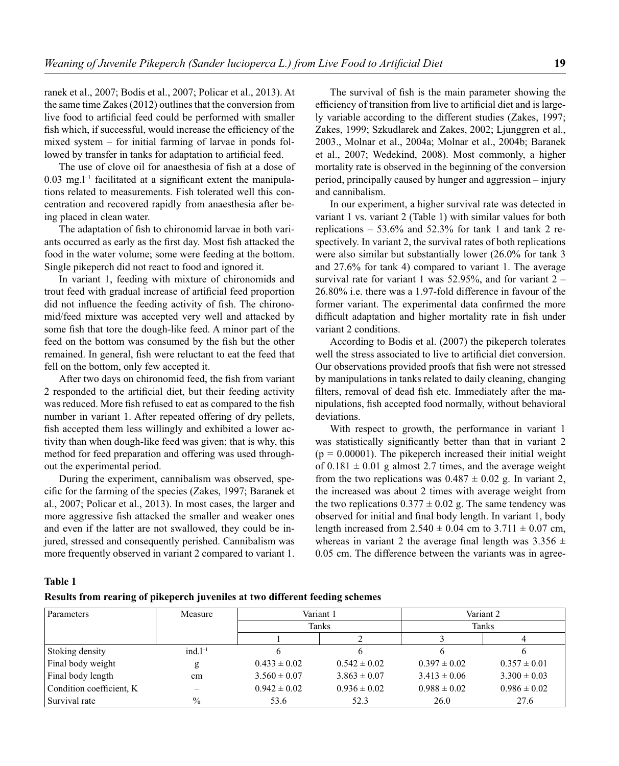ranek et al., 2007; Bodis et al., 2007; Policar et al., 2013). At the same time Zakes (2012) outlines that the conversion from live food to artificial feed could be performed with smaller fish which, if successful, would increase the efficiency of the mixed system – for initial farming of larvae in ponds followed by transfer in tanks for adaptation to artificial feed.

The use of clove oil for anaesthesia of fish at a dose of  $0.03$  mg.<sup>1-1</sup> facilitated at a significant extent the manipulations related to measurements. Fish tolerated well this concentration and recovered rapidly from anaesthesia after being placed in clean water.

The adaptation of fish to chironomid larvae in both variants occurred as early as the first day. Most fish attacked the food in the water volume; some were feeding at the bottom. Single pikeperch did not react to food and ignored it.

In variant 1, feeding with mixture of chironomids and trout feed with gradual increase of artificial feed proportion did not influence the feeding activity of fish. The chironomid/feed mixture was accepted very well and attacked by some fish that tore the dough-like feed. A minor part of the feed on the bottom was consumed by the fish but the other remained. In general, fish were reluctant to eat the feed that fell on the bottom, only few accepted it.

After two days on chironomid feed, the fish from variant 2 responded to the artificial diet, but their feeding activity was reduced. More fish refused to eat as compared to the fish number in variant 1. After repeated offering of dry pellets, fish accepted them less willingly and exhibited a lower activity than when dough-like feed was given; that is why, this method for feed preparation and offering was used throughout the experimental period.

During the experiment, cannibalism was observed, specific for the farming of the species (Zakes, 1997; Baranek et al., 2007; Policar et al., 2013). In most cases, the larger and more aggressive fish attacked the smaller and weaker ones and even if the latter are not swallowed, they could be injured, stressed and consequently perished. Cannibalism was more frequently observed in variant 2 compared to variant 1.

The survival of fish is the main parameter showing the efficiency of transition from live to artificial diet and is largely variable according to the different studies (Zakes, 1997; Zakes, 1999; Szkudlarek and Zakes, 2002; Ljunggren et al., 2003., Molnar et al., 2004a; Molnar et al., 2004b; Baranek et al., 2007; Wedekind, 2008). Most commonly, a higher mortality rate is observed in the beginning of the conversion period, principally caused by hunger and aggression – injury and cannibalism.

In our experiment, a higher survival rate was detected in variant 1 vs. variant 2 (Table 1) with similar values for both replications  $-53.6\%$  and  $52.3\%$  for tank 1 and tank 2 respectively. In variant 2, the survival rates of both replications were also similar but substantially lower (26.0% for tank 3 and 27.6% for tank 4) compared to variant 1. The average survival rate for variant 1 was  $52.95\%$ , and for variant  $2 -$ 26.80% i.e. there was a 1.97-fold difference in favour of the former variant. The experimental data confirmed the more difficult adaptation and higher mortality rate in fish under variant 2 conditions.

According to Bodis et al. (2007) the pikeperch tolerates well the stress associated to live to artificial diet conversion. Our observations provided proofs that fish were not stressed by manipulations in tanks related to daily cleaning, changing filters, removal of dead fish etc. Immediately after the manipulations, fish accepted food normally, without behavioral deviations.

With respect to growth, the performance in variant 1 was statistically significantly better than that in variant 2  $(p = 0.00001)$ . The pikeperch increased their initial weight of  $0.181 \pm 0.01$  g almost 2.7 times, and the average weight from the two replications was  $0.487 \pm 0.02$  g. In variant 2, the increased was about 2 times with average weight from the two replications  $0.377 \pm 0.02$  g. The same tendency was observed for initial and final body length. In variant 1, body length increased from  $2.540 \pm 0.04$  cm to  $3.711 \pm 0.07$  cm, whereas in variant 2 the average final length was  $3.356 \pm$ 0.05 cm. The difference between the variants was in agree-

#### **Table 1**

|  |  |  |  |  | Results from rearing of pikeperch juveniles at two different feeding schemes |
|--|--|--|--|--|------------------------------------------------------------------------------|
|--|--|--|--|--|------------------------------------------------------------------------------|

| Parameters               | Measure    | Variant 1        |                  | Variant 2        |                  |
|--------------------------|------------|------------------|------------------|------------------|------------------|
|                          |            | Tanks            |                  | Tanks            |                  |
|                          |            |                  |                  |                  |                  |
| Stoking density          | $ind. l-1$ |                  |                  |                  |                  |
| Final body weight        | g          | $0.433 \pm 0.02$ | $0.542 \pm 0.02$ | $0.397 \pm 0.02$ | $0.357 \pm 0.01$ |
| Final body length        | cm         | $3.560 \pm 0.07$ | $3.863 \pm 0.07$ | $3.413 \pm 0.06$ | $3.300 \pm 0.03$ |
| Condition coefficient, K |            | $0.942 \pm 0.02$ | $0.936 \pm 0.02$ | $0.988 \pm 0.02$ | $0.986 \pm 0.02$ |
| Survival rate            | $\%$       | 53.6             | 52.3             | 26.0             | 27.6             |